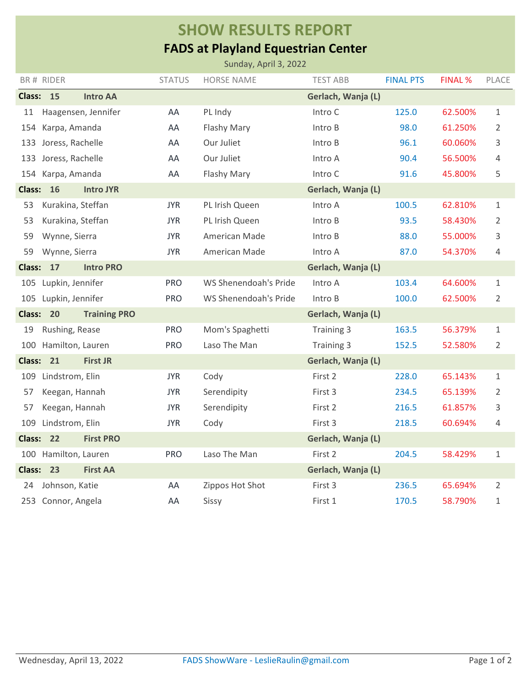## **SHOW RESULTS REPORT**

## **FADS at Playland Equestrian Center**

| Sunday, April 3, 2022                          |                      |                     |                    |                       |                    |                  |                |                |  |  |  |
|------------------------------------------------|----------------------|---------------------|--------------------|-----------------------|--------------------|------------------|----------------|----------------|--|--|--|
|                                                | BR# RIDER            |                     | <b>STATUS</b>      | <b>HORSE NAME</b>     | <b>TEST ABB</b>    | <b>FINAL PTS</b> | <b>FINAL %</b> | PLACE          |  |  |  |
| Class: 15                                      |                      | <b>Intro AA</b>     |                    |                       | Gerlach, Wanja (L) |                  |                |                |  |  |  |
| 11                                             |                      | Haagensen, Jennifer | AA                 | PL Indy               | Intro C            | 125.0            | 62.500%        | $\mathbf 1$    |  |  |  |
| 154                                            | Karpa, Amanda        |                     | AA                 | Flashy Mary           | Intro B            | 98.0             | 61.250%        | 2              |  |  |  |
| 133                                            | Joress, Rachelle     |                     | AA                 | Our Juliet            | Intro B            | 96.1             | 60.060%        | 3              |  |  |  |
| 133                                            | Joress, Rachelle     |                     | AA                 | Our Juliet            | Intro A            | 90.4             | 56.500%        | 4              |  |  |  |
|                                                | 154 Karpa, Amanda    |                     | AA                 | Flashy Mary           | Intro C            | 91.6             | 45.800%        | 5              |  |  |  |
| <b>16</b><br><b>Class:</b><br><b>Intro JYR</b> |                      |                     | Gerlach, Wanja (L) |                       |                    |                  |                |                |  |  |  |
| 53                                             | Kurakina, Steffan    |                     | <b>JYR</b>         | PL Irish Queen        | Intro A            | 100.5            | 62.810%        | $\mathbf{1}$   |  |  |  |
| 53                                             | Kurakina, Steffan    |                     | <b>JYR</b>         | PL Irish Queen        | Intro B            | 93.5             | 58.430%        | 2              |  |  |  |
| 59                                             | Wynne, Sierra        |                     | <b>JYR</b>         | American Made         | Intro B            | 88.0             | 55.000%        | 3              |  |  |  |
| 59                                             | Wynne, Sierra        |                     | <b>JYR</b>         | American Made         | Intro A            | 87.0             | 54.370%        | 4              |  |  |  |
| <b>Class:</b><br>17<br><b>Intro PRO</b>        |                      |                     |                    |                       | Gerlach, Wanja (L) |                  |                |                |  |  |  |
|                                                | 105 Lupkin, Jennifer |                     | <b>PRO</b>         | WS Shenendoah's Pride | Intro A            | 103.4            | 64.600%        | $\mathbf{1}$   |  |  |  |
|                                                | 105 Lupkin, Jennifer |                     | <b>PRO</b>         | WS Shenendoah's Pride | Intro B            | 100.0            | 62.500%        | 2              |  |  |  |
| Class: 20                                      |                      | <b>Training PRO</b> |                    |                       | Gerlach, Wanja (L) |                  |                |                |  |  |  |
| 19                                             | Rushing, Rease       |                     | <b>PRO</b>         | Mom's Spaghetti       | Training 3         | 163.5            | 56.379%        | 1              |  |  |  |
| 100                                            | Hamilton, Lauren     |                     | <b>PRO</b>         | Laso The Man          | Training 3         | 152.5            | 52.580%        | $\overline{2}$ |  |  |  |
| Class: 21                                      |                      | <b>First JR</b>     |                    |                       | Gerlach, Wanja (L) |                  |                |                |  |  |  |
| 109                                            | Lindstrom, Elin      |                     | <b>JYR</b>         | Cody                  | First 2            | 228.0            | 65.143%        | $\mathbf{1}$   |  |  |  |
| 57                                             | Keegan, Hannah       |                     | <b>JYR</b>         | Serendipity           | First 3            | 234.5            | 65.139%        | 2              |  |  |  |
| 57                                             | Keegan, Hannah       |                     | <b>JYR</b>         | Serendipity           | First 2            | 216.5            | 61.857%        | 3              |  |  |  |
| 109                                            | Lindstrom, Elin      |                     | <b>JYR</b>         | Cody                  | First 3            | 218.5            | 60.694%        | 4              |  |  |  |
| Class: 22                                      |                      | <b>First PRO</b>    |                    |                       | Gerlach, Wanja (L) |                  |                |                |  |  |  |
| 100                                            | Hamilton, Lauren     |                     | <b>PRO</b>         | Laso The Man          | First 2            | 204.5            | 58.429%        | $\mathbf 1$    |  |  |  |
| Class: 23                                      |                      | <b>First AA</b>     |                    |                       | Gerlach, Wanja (L) |                  |                |                |  |  |  |
| 24                                             | Johnson, Katie       |                     | AA                 | Zippos Hot Shot       | First 3            | 236.5            | 65.694%        | 2              |  |  |  |
|                                                | 253 Connor, Angela   |                     | AA                 | Sissy                 | First 1            | 170.5            | 58.790%        | 1              |  |  |  |